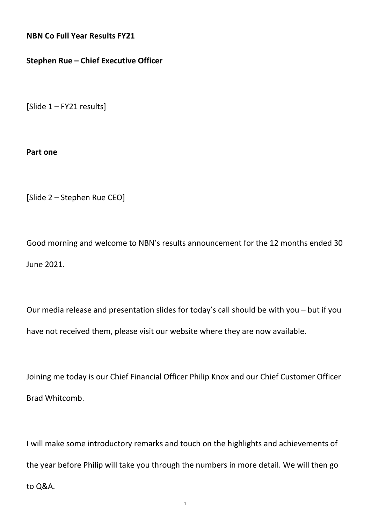**NBN Co Full Year Results FY21** 

## **Stephen Rue – Chief Executive Officer**

[Slide 1 – FY21 results]

**Part one**

[Slide 2 – Stephen Rue CEO]

Good morning and welcome to NBN's results announcement for the 12 months ended 30 June 2021.

Our media release and presentation slides for today's call should be with you – but if you have not received them, please visit our website where they are now available.

Joining me today is our Chief Financial Officer Philip Knox and our Chief Customer Officer Brad Whitcomb.

I will make some introductory remarks and touch on the highlights and achievements of the year before Philip will take you through the numbers in more detail. We will then go to Q&A.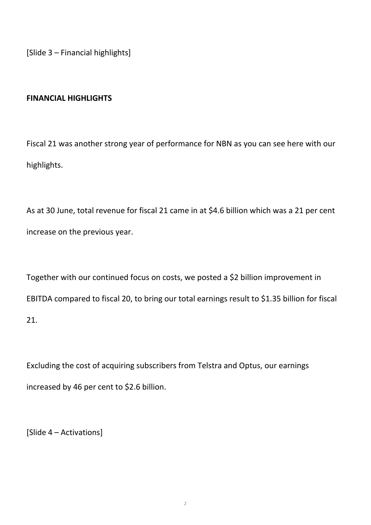[Slide 3 – Financial highlights]

# **FINANCIAL HIGHLIGHTS**

Fiscal 21 was another strong year of performance for NBN as you can see here with our highlights.

As at 30 June, total revenue for fiscal 21 came in at \$4.6 billion which was a 21 per cent increase on the previous year.

Together with our continued focus on costs, we posted a \$2 billion improvement in EBITDA compared to fiscal 20, to bring our total earnings result to \$1.35 billion for fiscal 21.

Excluding the cost of acquiring subscribers from Telstra and Optus, our earnings increased by 46 per cent to \$2.6 billion.

[Slide 4 – Activations]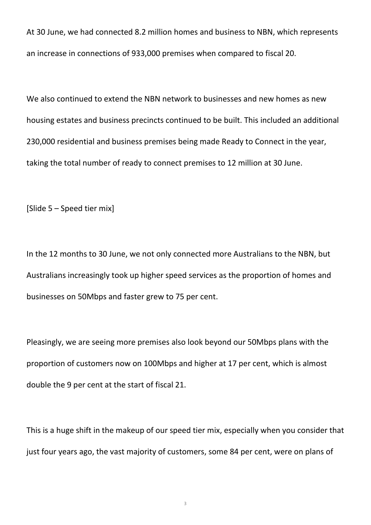At 30 June, we had connected 8.2 million homes and business to NBN, which represents an increase in connections of 933,000 premises when compared to fiscal 20.

We also continued to extend the NBN network to businesses and new homes as new housing estates and business precincts continued to be built. This included an additional 230,000 residential and business premises being made Ready to Connect in the year, taking the total number of ready to connect premises to 12 million at 30 June.

[Slide 5 – Speed tier mix]

In the 12 months to 30 June, we not only connected more Australians to the NBN, but Australians increasingly took up higher speed services as the proportion of homes and businesses on 50Mbps and faster grew to 75 per cent.

Pleasingly, we are seeing more premises also look beyond our 50Mbps plans with the proportion of customers now on 100Mbps and higher at 17 per cent, which is almost double the 9 per cent at the start of fiscal 21.

This is a huge shift in the makeup of our speed tier mix, especially when you consider that just four years ago, the vast majority of customers, some 84 per cent, were on plans of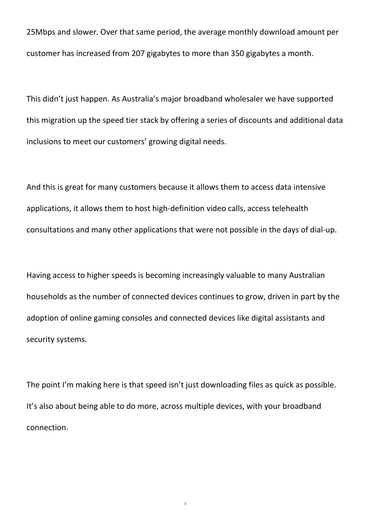25Mbps and slower. Over that same period, the average monthly download amount per customer has increased from 207 gigabytes to more than 350 gigabytes a month.

This didn't just happen. As Australia's major broadband wholesaler we have supported this migration up the speed tier stack by offering a series of discounts and additional data inclusions to meet our customers' growing digital needs.

And this is great for many customers because it allows them to access data intensive applications, it allows them to host high-definition video calls, access telehealth consultations and many other applications that were not possible in the days of dial-up.

Having access to higher speeds is becoming increasingly valuable to many Australian households as the number of connected devices continues to grow, driven in part by the adoption of online gaming consoles and connected devices like digital assistants and security systems.

The point I'm making here is that speed isn't just downloading files as quick as possible. It's also about being able to do more, across multiple devices, with your broadband connection.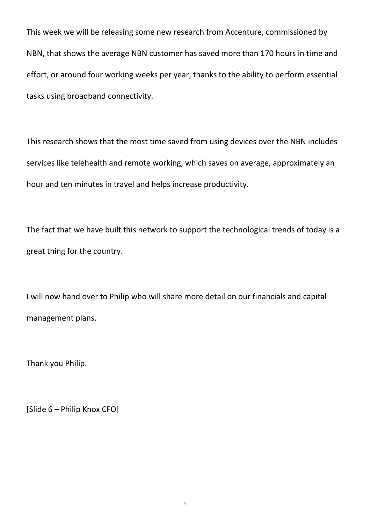This week we will be releasing some new research from Accenture, commissioned by NBN, that shows the average NBN customer has saved more than 170 hours in time and effort, or around four working weeks per year, thanks to the ability to perform essential tasks using broadband connectivity.

This research shows that the most time saved from using devices over the NBN includes services like telehealth and remote working, which saves on average, approximately an hour and ten minutes in travel and helps increase productivity.

The fact that we have built this network to support the technological trends of today is a great thing for the country.

I will now hand over to Philip who will share more detail on our financials and capital management plans.

Thank you Philip.

[Slide 6 – Philip Knox CFO]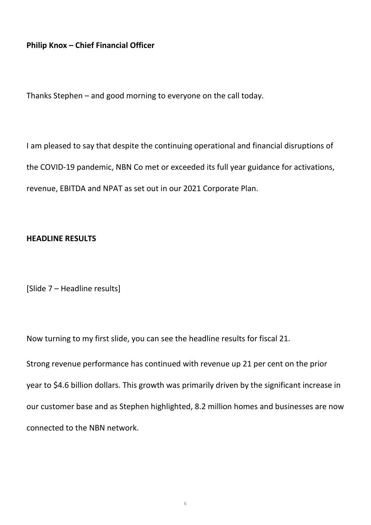# **Philip Knox – Chief Financial Officer**

Thanks Stephen – and good morning to everyone on the call today.

I am pleased to say that despite the continuing operational and financial disruptions of the COVID-19 pandemic, NBN Co met or exceeded its full year guidance for activations, revenue, EBITDA and NPAT as set out in our 2021 Corporate Plan.

### **HEADLINE RESULTS**

[Slide 7 – Headline results]

Now turning to my first slide, you can see the headline results for fiscal 21.

Strong revenue performance has continued with revenue up 21 per cent on the prior year to \$4.6 billion dollars. This growth was primarily driven by the significant increase in our customer base and as Stephen highlighted, 8.2 million homes and businesses are now connected to the NBN network.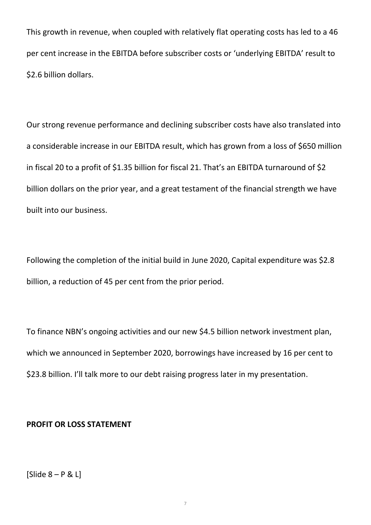This growth in revenue, when coupled with relatively flat operating costs has led to a 46 per cent increase in the EBITDA before subscriber costs or 'underlying EBITDA' result to \$2.6 billion dollars.

Our strong revenue performance and declining subscriber costs have also translated into a considerable increase in our EBITDA result, which has grown from a loss of \$650 million in fiscal 20 to a profit of \$1.35 billion for fiscal 21. That's an EBITDA turnaround of \$2 billion dollars on the prior year, and a great testament of the financial strength we have built into our business.

Following the completion of the initial build in June 2020, Capital expenditure was \$2.8 billion, a reduction of 45 per cent from the prior period.

To finance NBN's ongoing activities and our new \$4.5 billion network investment plan, which we announced in September 2020, borrowings have increased by 16 per cent to \$23.8 billion. I'll talk more to our debt raising progress later in my presentation.

### **PROFIT OR LOSS STATEMENT**

 $[S$ lide  $8 - P & L]$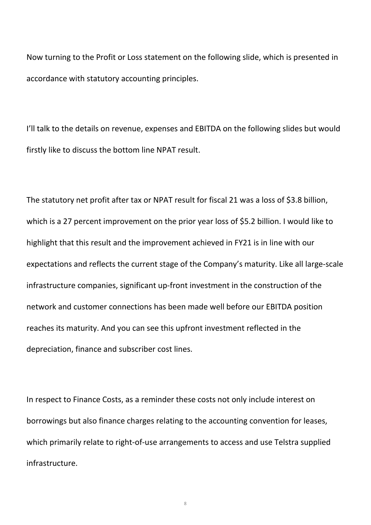Now turning to the Profit or Loss statement on the following slide, which is presented in accordance with statutory accounting principles.

I'll talk to the details on revenue, expenses and EBITDA on the following slides but would firstly like to discuss the bottom line NPAT result.

The statutory net profit after tax or NPAT result for fiscal 21 was a loss of \$3.8 billion, which is a 27 percent improvement on the prior year loss of \$5.2 billion. I would like to highlight that this result and the improvement achieved in FY21 is in line with our expectations and reflects the current stage of the Company's maturity. Like all large-scale infrastructure companies, significant up-front investment in the construction of the network and customer connections has been made well before our EBITDA position reaches its maturity. And you can see this upfront investment reflected in the depreciation, finance and subscriber cost lines.

In respect to Finance Costs, as a reminder these costs not only include interest on borrowings but also finance charges relating to the accounting convention for leases, which primarily relate to right-of-use arrangements to access and use Telstra supplied infrastructure.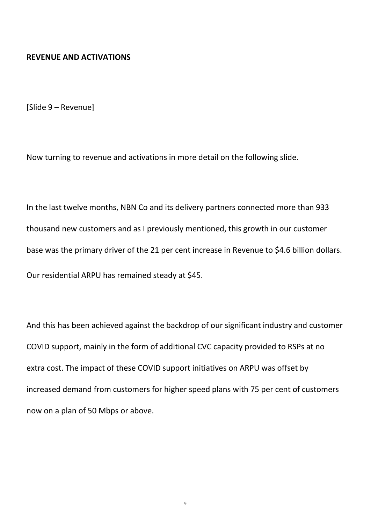#### **REVENUE AND ACTIVATIONS**

[Slide 9 – Revenue]

Now turning to revenue and activations in more detail on the following slide.

In the last twelve months, NBN Co and its delivery partners connected more than 933 thousand new customers and as I previously mentioned, this growth in our customer base was the primary driver of the 21 per cent increase in Revenue to \$4.6 billion dollars. Our residential ARPU has remained steady at \$45.

And this has been achieved against the backdrop of our significant industry and customer COVID support, mainly in the form of additional CVC capacity provided to RSPs at no extra cost. The impact of these COVID support initiatives on ARPU was offset by increased demand from customers for higher speed plans with 75 per cent of customers now on a plan of 50 Mbps or above.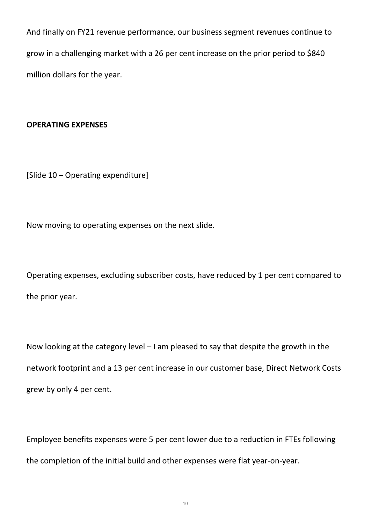And finally on FY21 revenue performance, our business segment revenues continue to grow in a challenging market with a 26 per cent increase on the prior period to \$840 million dollars for the year.

## **OPERATING EXPENSES**

[Slide 10 – Operating expenditure]

Now moving to operating expenses on the next slide.

Operating expenses, excluding subscriber costs, have reduced by 1 per cent compared to the prior year.

Now looking at the category level – I am pleased to say that despite the growth in the network footprint and a 13 per cent increase in our customer base, Direct Network Costs grew by only 4 per cent.

Employee benefits expenses were 5 per cent lower due to a reduction in FTEs following the completion of the initial build and other expenses were flat year-on-year.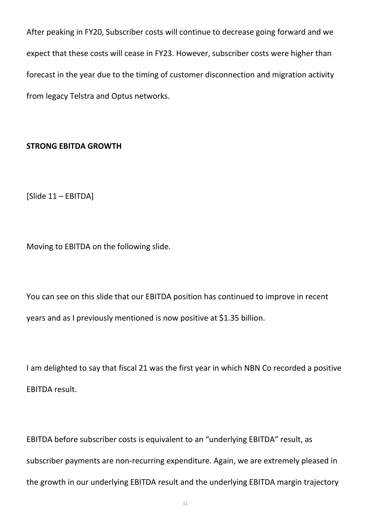After peaking in FY20, Subscriber costs will continue to decrease going forward and we expect that these costs will cease in FY23. However, subscriber costs were higher than forecast in the year due to the timing of customer disconnection and migration activity from legacy Telstra and Optus networks.

# **STRONG EBITDA GROWTH**

[Slide 11 – EBITDA]

Moving to EBITDA on the following slide.

You can see on this slide that our EBITDA position has continued to improve in recent years and as I previously mentioned is now positive at \$1.35 billion.

I am delighted to say that fiscal 21 was the first year in which NBN Co recorded a positive EBITDA result.

EBITDA before subscriber costs is equivalent to an "underlying EBITDA" result, as subscriber payments are non-recurring expenditure. Again, we are extremely pleased in the growth in our underlying EBITDA result and the underlying EBITDA margin trajectory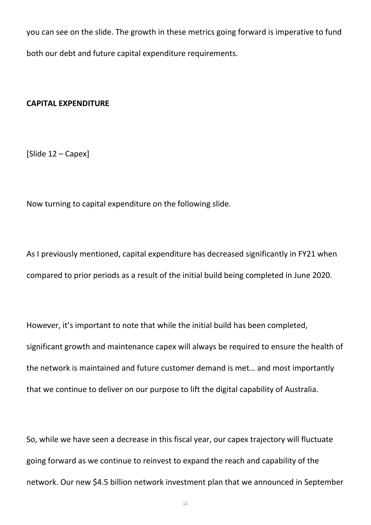you can see on the slide. The growth in these metrics going forward is imperative to fund both our debt and future capital expenditure requirements.

#### **CAPITAL EXPENDITURE**

[Slide 12 – Capex]

Now turning to capital expenditure on the following slide.

As I previously mentioned, capital expenditure has decreased significantly in FY21 when compared to prior periods as a result of the initial build being completed in June 2020.

However, it's important to note that while the initial build has been completed, significant growth and maintenance capex will always be required to ensure the health of the network is maintained and future customer demand is met… and most importantly that we continue to deliver on our purpose to lift the digital capability of Australia.

So, while we have seen a decrease in this fiscal year, our capex trajectory will fluctuate going forward as we continue to reinvest to expand the reach and capability of the network. Our new \$4.5 billion network investment plan that we announced in September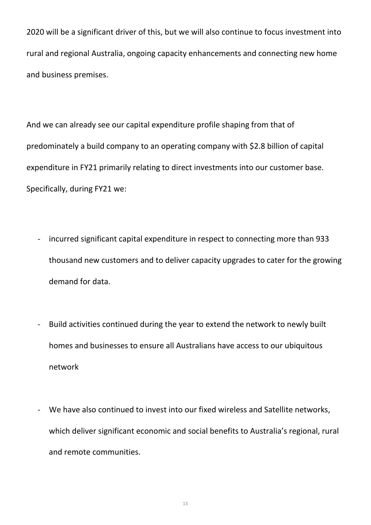2020 will be a significant driver of this, but we will also continue to focus investment into rural and regional Australia, ongoing capacity enhancements and connecting new home and business premises.

And we can already see our capital expenditure profile shaping from that of predominately a build company to an operating company with \$2.8 billion of capital expenditure in FY21 primarily relating to direct investments into our customer base. Specifically, during FY21 we:

- incurred significant capital expenditure in respect to connecting more than 933 thousand new customers and to deliver capacity upgrades to cater for the growing demand for data.
- Build activities continued during the year to extend the network to newly built homes and businesses to ensure all Australians have access to our ubiquitous network
- We have also continued to invest into our fixed wireless and Satellite networks, which deliver significant economic and social benefits to Australia's regional, rural and remote communities.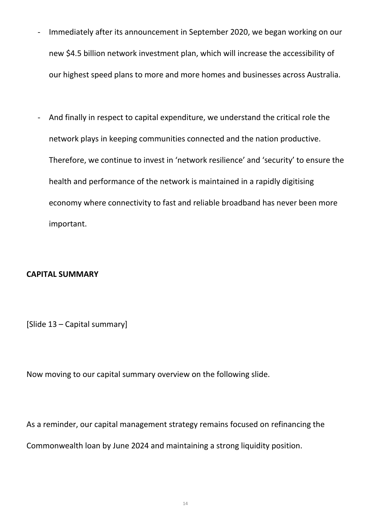- Immediately after its announcement in September 2020, we began working on our new \$4.5 billion network investment plan, which will increase the accessibility of our highest speed plans to more and more homes and businesses across Australia.
- And finally in respect to capital expenditure, we understand the critical role the network plays in keeping communities connected and the nation productive. Therefore, we continue to invest in 'network resilience' and 'security' to ensure the health and performance of the network is maintained in a rapidly digitising economy where connectivity to fast and reliable broadband has never been more important.

## **CAPITAL SUMMARY**

[Slide 13 – Capital summary]

Now moving to our capital summary overview on the following slide.

As a reminder, our capital management strategy remains focused on refinancing the Commonwealth loan by June 2024 and maintaining a strong liquidity position.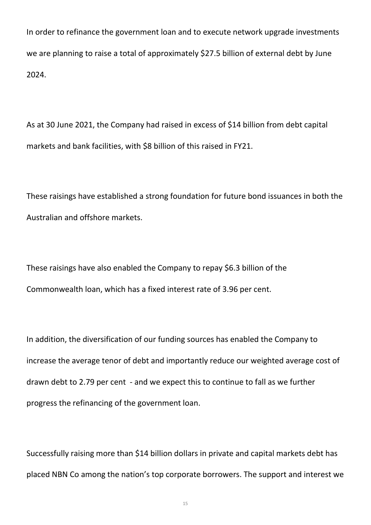In order to refinance the government loan and to execute network upgrade investments we are planning to raise a total of approximately \$27.5 billion of external debt by June 2024.

As at 30 June 2021, the Company had raised in excess of \$14 billion from debt capital markets and bank facilities, with \$8 billion of this raised in FY21.

These raisings have established a strong foundation for future bond issuances in both the Australian and offshore markets.

These raisings have also enabled the Company to repay \$6.3 billion of the Commonwealth loan, which has a fixed interest rate of 3.96 per cent.

In addition, the diversification of our funding sources has enabled the Company to increase the average tenor of debt and importantly reduce our weighted average cost of drawn debt to 2.79 per cent - and we expect this to continue to fall as we further progress the refinancing of the government loan.

Successfully raising more than \$14 billion dollars in private and capital markets debt has placed NBN Co among the nation's top corporate borrowers. The support and interest we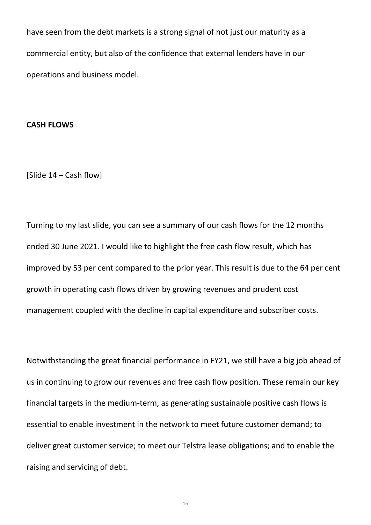have seen from the debt markets is a strong signal of not just our maturity as a commercial entity, but also of the confidence that external lenders have in our operations and business model.

#### **CASH FLOWS**

[Slide 14 – Cash flow]

Turning to my last slide, you can see a summary of our cash flows for the 12 months ended 30 June 2021. I would like to highlight the free cash flow result, which has improved by 53 per cent compared to the prior year. This result is due to the 64 per cent growth in operating cash flows driven by growing revenues and prudent cost management coupled with the decline in capital expenditure and subscriber costs.

Notwithstanding the great financial performance in FY21, we still have a big job ahead of us in continuing to grow our revenues and free cash flow position. These remain our key financial targets in the medium-term, as generating sustainable positive cash flows is essential to enable investment in the network to meet future customer demand; to deliver great customer service; to meet our Telstra lease obligations; and to enable the raising and servicing of debt.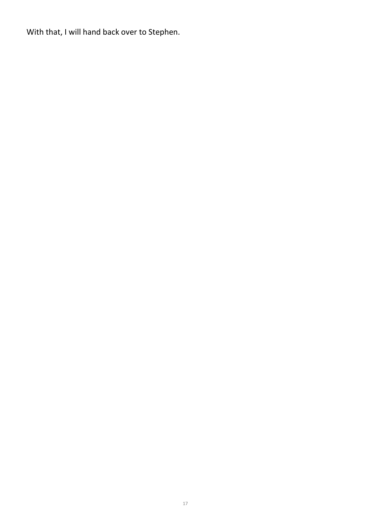With that, I will hand back over to Stephen.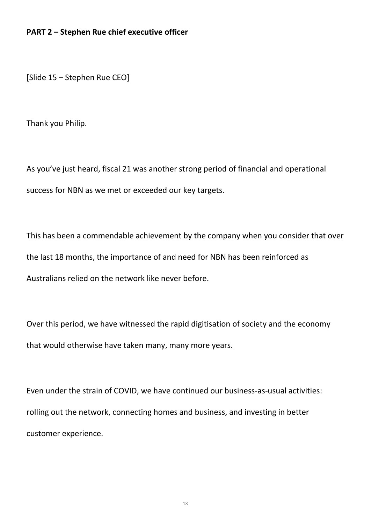### **PART 2 – Stephen Rue chief executive officer**

[Slide 15 – Stephen Rue CEO]

Thank you Philip.

As you've just heard, fiscal 21 was another strong period of financial and operational success for NBN as we met or exceeded our key targets.

This has been a commendable achievement by the company when you consider that over the last 18 months, the importance of and need for NBN has been reinforced as Australians relied on the network like never before.

Over this period, we have witnessed the rapid digitisation of society and the economy that would otherwise have taken many, many more years.

Even under the strain of COVID, we have continued our business-as-usual activities: rolling out the network, connecting homes and business, and investing in better customer experience.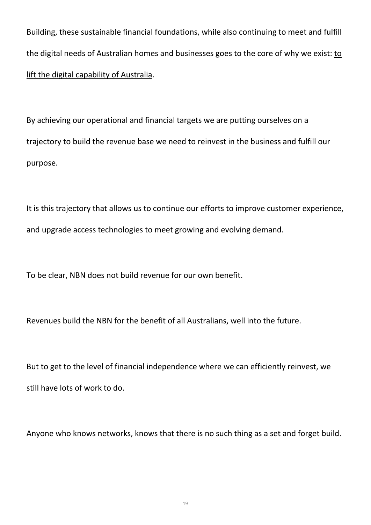Building, these sustainable financial foundations, while also continuing to meet and fulfill the digital needs of Australian homes and businesses goes to the core of why we exist: to lift the digital capability of Australia.

By achieving our operational and financial targets we are putting ourselves on a trajectory to build the revenue base we need to reinvest in the business and fulfill our purpose.

It is this trajectory that allows us to continue our efforts to improve customer experience, and upgrade access technologies to meet growing and evolving demand.

To be clear, NBN does not build revenue for our own benefit.

Revenues build the NBN for the benefit of all Australians, well into the future.

But to get to the level of financial independence where we can efficiently reinvest, we still have lots of work to do.

Anyone who knows networks, knows that there is no such thing as a set and forget build.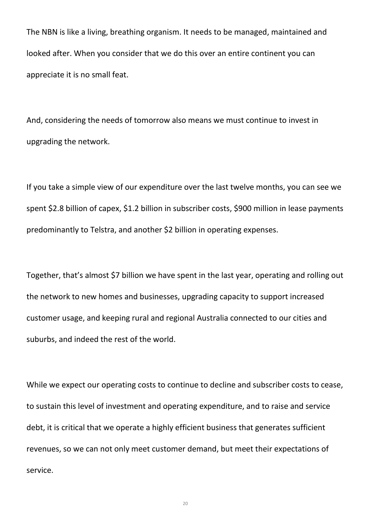The NBN is like a living, breathing organism. It needs to be managed, maintained and looked after. When you consider that we do this over an entire continent you can appreciate it is no small feat.

And, considering the needs of tomorrow also means we must continue to invest in upgrading the network.

If you take a simple view of our expenditure over the last twelve months, you can see we spent \$2.8 billion of capex, \$1.2 billion in subscriber costs, \$900 million in lease payments predominantly to Telstra, and another \$2 billion in operating expenses.

Together, that's almost \$7 billion we have spent in the last year, operating and rolling out the network to new homes and businesses, upgrading capacity to support increased customer usage, and keeping rural and regional Australia connected to our cities and suburbs, and indeed the rest of the world.

While we expect our operating costs to continue to decline and subscriber costs to cease, to sustain this level of investment and operating expenditure, and to raise and service debt, it is critical that we operate a highly efficient business that generates sufficient revenues, so we can not only meet customer demand, but meet their expectations of service.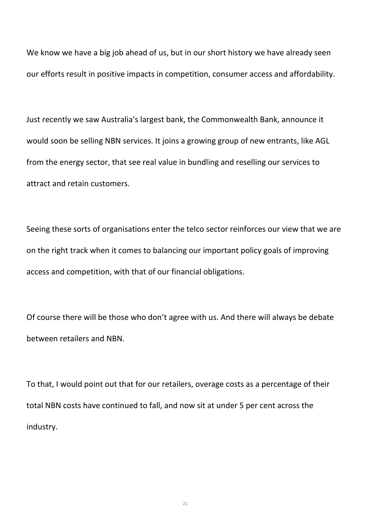We know we have a big job ahead of us, but in our short history we have already seen our efforts result in positive impacts in competition, consumer access and affordability.

Just recently we saw Australia's largest bank, the Commonwealth Bank, announce it would soon be selling NBN services. It joins a growing group of new entrants, like AGL from the energy sector, that see real value in bundling and reselling our services to attract and retain customers.

Seeing these sorts of organisations enter the telco sector reinforces our view that we are on the right track when it comes to balancing our important policy goals of improving access and competition, with that of our financial obligations.

Of course there will be those who don't agree with us. And there will always be debate between retailers and NBN.

To that, I would point out that for our retailers, overage costs as a percentage of their total NBN costs have continued to fall, and now sit at under 5 per cent across the industry.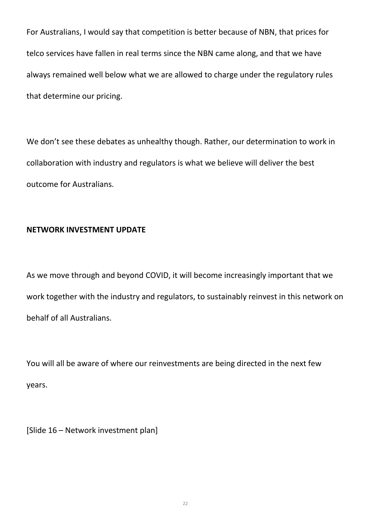For Australians, I would say that competition is better because of NBN, that prices for telco services have fallen in real terms since the NBN came along, and that we have always remained well below what we are allowed to charge under the regulatory rules that determine our pricing.

We don't see these debates as unhealthy though. Rather, our determination to work in collaboration with industry and regulators is what we believe will deliver the best outcome for Australians.

## **NETWORK INVESTMENT UPDATE**

As we move through and beyond COVID, it will become increasingly important that we work together with the industry and regulators, to sustainably reinvest in this network on behalf of all Australians.

You will all be aware of where our reinvestments are being directed in the next few years.

[Slide 16 – Network investment plan]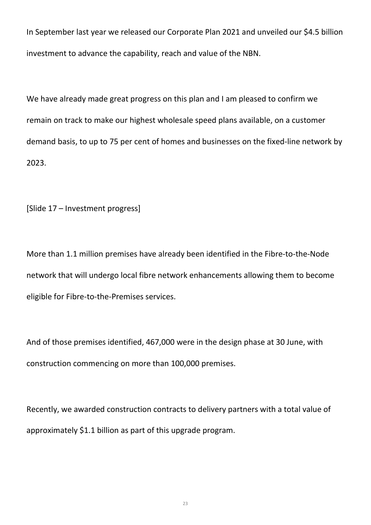In September last year we released our Corporate Plan 2021 and unveiled our \$4.5 billion investment to advance the capability, reach and value of the NBN.

We have already made great progress on this plan and I am pleased to confirm we remain on track to make our highest wholesale speed plans available, on a customer demand basis, to up to 75 per cent of homes and businesses on the fixed-line network by 2023.

[Slide 17 – Investment progress]

More than 1.1 million premises have already been identified in the Fibre-to-the-Node network that will undergo local fibre network enhancements allowing them to become eligible for Fibre-to-the-Premises services.

And of those premises identified, 467,000 were in the design phase at 30 June, with construction commencing on more than 100,000 premises.

Recently, we awarded construction contracts to delivery partners with a total value of approximately \$1.1 billion as part of this upgrade program.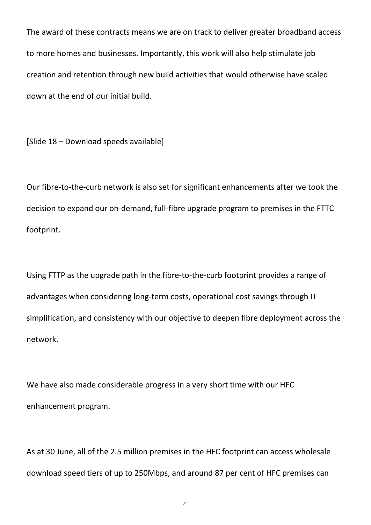The award of these contracts means we are on track to deliver greater broadband access to more homes and businesses. Importantly, this work will also help stimulate job creation and retention through new build activities that would otherwise have scaled down at the end of our initial build.

[Slide 18 – Download speeds available]

Our fibre-to-the-curb network is also set for significant enhancements after we took the decision to expand our on-demand, full-fibre upgrade program to premises in the FTTC footprint.

Using FTTP as the upgrade path in the fibre-to-the-curb footprint provides a range of advantages when considering long-term costs, operational cost savings through IT simplification, and consistency with our objective to deepen fibre deployment across the network.

We have also made considerable progress in a very short time with our HFC enhancement program.

As at 30 June, all of the 2.5 million premises in the HFC footprint can access wholesale download speed tiers of up to 250Mbps, and around 87 per cent of HFC premises can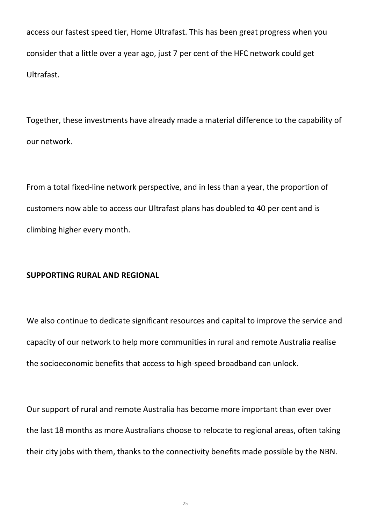access our fastest speed tier, Home Ultrafast. This has been great progress when you consider that a little over a year ago, just 7 per cent of the HFC network could get Ultrafast.

Together, these investments have already made a material difference to the capability of our network.

From a total fixed-line network perspective, and in less than a year, the proportion of customers now able to access our Ultrafast plans has doubled to 40 per cent and is climbing higher every month.

## **SUPPORTING RURAL AND REGIONAL**

We also continue to dedicate significant resources and capital to improve the service and capacity of our network to help more communities in rural and remote Australia realise the socioeconomic benefits that access to high-speed broadband can unlock.

Our support of rural and remote Australia has become more important than ever over the last 18 months as more Australians choose to relocate to regional areas, often taking their city jobs with them, thanks to the connectivity benefits made possible by the NBN.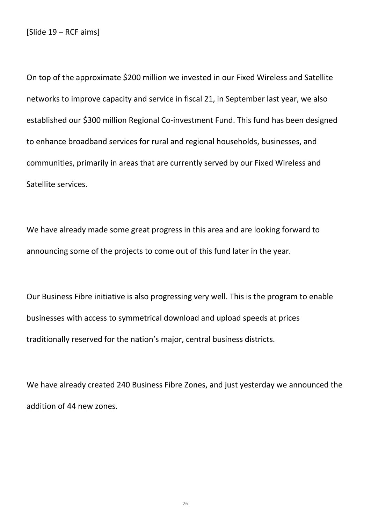[Slide 19 – RCF aims]

On top of the approximate \$200 million we invested in our Fixed Wireless and Satellite networks to improve capacity and service in fiscal 21, in September last year, we also established our \$300 million Regional Co-investment Fund. This fund has been designed to enhance broadband services for rural and regional households, businesses, and communities, primarily in areas that are currently served by our Fixed Wireless and Satellite services.

We have already made some great progress in this area and are looking forward to announcing some of the projects to come out of this fund later in the year.

Our Business Fibre initiative is also progressing very well. This is the program to enable businesses with access to symmetrical download and upload speeds at prices traditionally reserved for the nation's major, central business districts.

We have already created 240 Business Fibre Zones, and just yesterday we announced the addition of 44 new zones.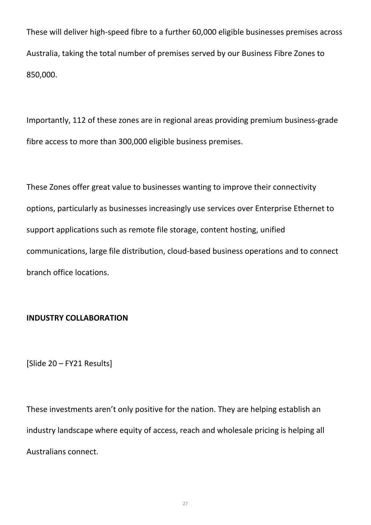These will deliver high-speed fibre to a further 60,000 eligible businesses premises across Australia, taking the total number of premises served by our Business Fibre Zones to 850,000.

Importantly, 112 of these zones are in regional areas providing premium business-grade fibre access to more than 300,000 eligible business premises.

These Zones offer great value to businesses wanting to improve their connectivity options, particularly as businesses increasingly use services over Enterprise Ethernet to support applications such as remote file storage, content hosting, unified communications, large file distribution, cloud-based business operations and to connect branch office locations.

## **INDUSTRY COLLABORATION**

[Slide 20 – FY21 Results]

These investments aren't only positive for the nation. They are helping establish an industry landscape where equity of access, reach and wholesale pricing is helping all Australians connect.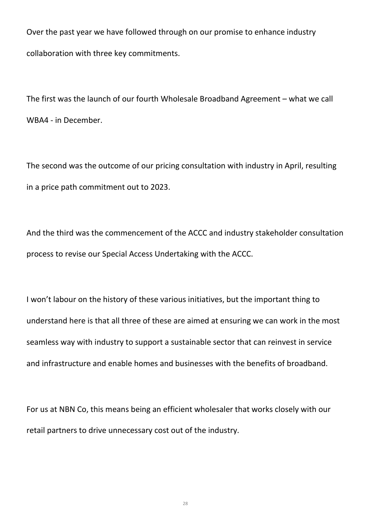Over the past year we have followed through on our promise to enhance industry collaboration with three key commitments.

The first was the launch of our fourth Wholesale Broadband Agreement – what we call WBA4 - in December.

The second was the outcome of our pricing consultation with industry in April, resulting in a price path commitment out to 2023.

And the third was the commencement of the ACCC and industry stakeholder consultation process to revise our Special Access Undertaking with the ACCC.

I won't labour on the history of these various initiatives, but the important thing to understand here is that all three of these are aimed at ensuring we can work in the most seamless way with industry to support a sustainable sector that can reinvest in service and infrastructure and enable homes and businesses with the benefits of broadband.

For us at NBN Co, this means being an efficient wholesaler that works closely with our retail partners to drive unnecessary cost out of the industry.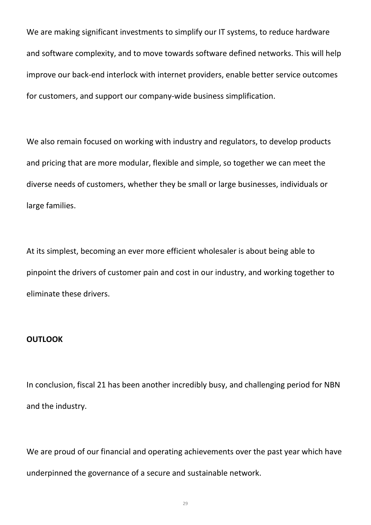We are making significant investments to simplify our IT systems, to reduce hardware and software complexity, and to move towards software defined networks. This will help improve our back-end interlock with internet providers, enable better service outcomes for customers, and support our company-wide business simplification.

We also remain focused on working with industry and regulators, to develop products and pricing that are more modular, flexible and simple, so together we can meet the diverse needs of customers, whether they be small or large businesses, individuals or large families.

At its simplest, becoming an ever more efficient wholesaler is about being able to pinpoint the drivers of customer pain and cost in our industry, and working together to eliminate these drivers.

### **OUTLOOK**

In conclusion, fiscal 21 has been another incredibly busy, and challenging period for NBN and the industry.

We are proud of our financial and operating achievements over the past year which have underpinned the governance of a secure and sustainable network.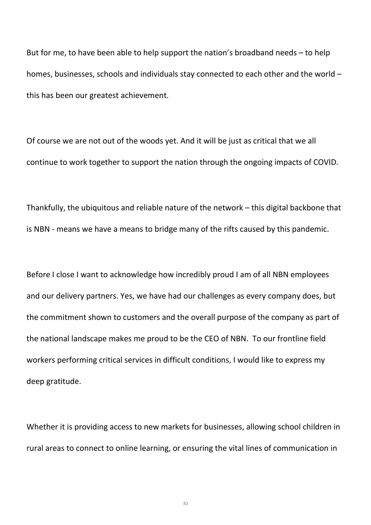But for me, to have been able to help support the nation's broadband needs – to help homes, businesses, schools and individuals stay connected to each other and the world – this has been our greatest achievement.

Of course we are not out of the woods yet. And it will be just as critical that we all continue to work together to support the nation through the ongoing impacts of COVID.

Thankfully, the ubiquitous and reliable nature of the network – this digital backbone that is NBN - means we have a means to bridge many of the rifts caused by this pandemic.

Before I close I want to acknowledge how incredibly proud I am of all NBN employees and our delivery partners. Yes, we have had our challenges as every company does, but the commitment shown to customers and the overall purpose of the company as part of the national landscape makes me proud to be the CEO of NBN. To our frontline field workers performing critical services in difficult conditions, I would like to express my deep gratitude.

Whether it is providing access to new markets for businesses, allowing school children in rural areas to connect to online learning, or ensuring the vital lines of communication in